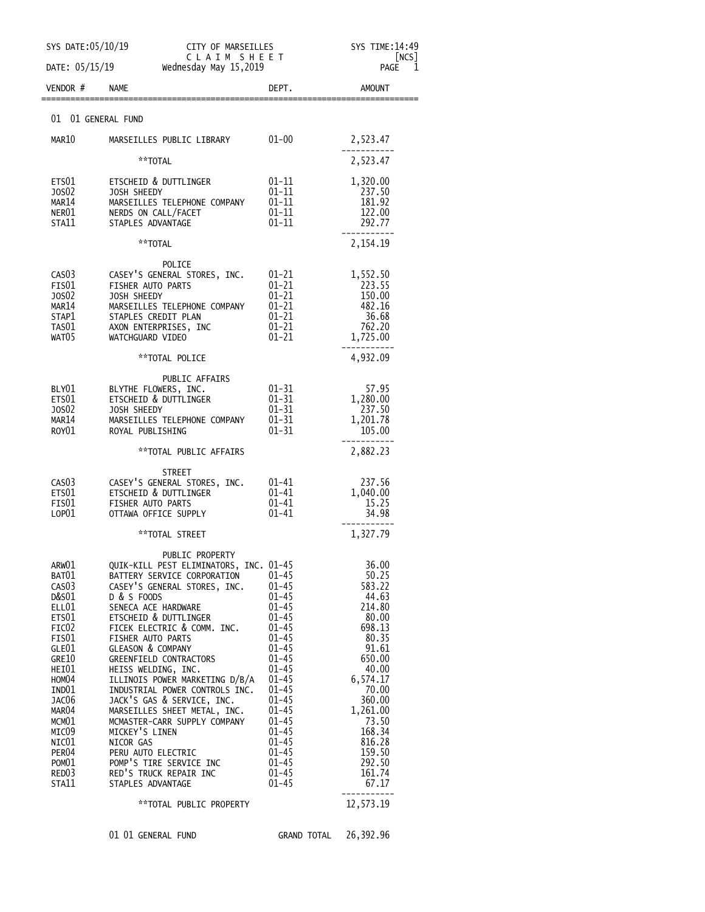| SYS DATE: 05/10/19<br>CITY OF MARSEILLES<br>CLAIM SHEET<br>DATE: 05/15/19<br>Wednesday May 15,2019                                                                                                                                                 |                                                                                                                                                                                                                                                                                                                                                                                                                                                                                                                                                                                                                               |                                                                                                                                                                                                                                                                           | SYS TIME:14:49<br>NCS<br>PAGE<br>1                                                                                                                                                                                 |
|----------------------------------------------------------------------------------------------------------------------------------------------------------------------------------------------------------------------------------------------------|-------------------------------------------------------------------------------------------------------------------------------------------------------------------------------------------------------------------------------------------------------------------------------------------------------------------------------------------------------------------------------------------------------------------------------------------------------------------------------------------------------------------------------------------------------------------------------------------------------------------------------|---------------------------------------------------------------------------------------------------------------------------------------------------------------------------------------------------------------------------------------------------------------------------|--------------------------------------------------------------------------------------------------------------------------------------------------------------------------------------------------------------------|
| VENDOR #                                                                                                                                                                                                                                           | <b>NAME</b>                                                                                                                                                                                                                                                                                                                                                                                                                                                                                                                                                                                                                   | DEPT.                                                                                                                                                                                                                                                                     | <b>AMOUNT</b>                                                                                                                                                                                                      |
| 01 01 GENERAL FUND                                                                                                                                                                                                                                 |                                                                                                                                                                                                                                                                                                                                                                                                                                                                                                                                                                                                                               |                                                                                                                                                                                                                                                                           |                                                                                                                                                                                                                    |
| MAR10                                                                                                                                                                                                                                              | MARSEILLES PUBLIC LIBRARY                                                                                                                                                                                                                                                                                                                                                                                                                                                                                                                                                                                                     | $01 - 00$                                                                                                                                                                                                                                                                 | 2,523.47                                                                                                                                                                                                           |
|                                                                                                                                                                                                                                                    | **TOTAL                                                                                                                                                                                                                                                                                                                                                                                                                                                                                                                                                                                                                       |                                                                                                                                                                                                                                                                           | 2,523.47                                                                                                                                                                                                           |
| ETS01<br>J0S02<br>MAR14<br>NER01<br>STA11                                                                                                                                                                                                          | ETSCHEID & DUTTLINGER<br>JOSH SHEEDY<br>MARSEILLES TELEPHONE COMPANY<br>NERDS ON CALL/FACET<br>STAPLES ADVANTAGE                                                                                                                                                                                                                                                                                                                                                                                                                                                                                                              | 01-11<br>$01 - 11$<br>$01 - 11$<br>$01 - 11$<br>01-11                                                                                                                                                                                                                     | 1,320.00<br>237.50<br>181.92<br>122.00<br>292.77                                                                                                                                                                   |
|                                                                                                                                                                                                                                                    | **TOTAL                                                                                                                                                                                                                                                                                                                                                                                                                                                                                                                                                                                                                       |                                                                                                                                                                                                                                                                           | 2,154.19                                                                                                                                                                                                           |
| CAS <sub>03</sub><br>FIS01<br>JOS02<br>MAR14<br>STAP1<br>TAS01<br>WAT05                                                                                                                                                                            | POLICE<br>CASEY'S GENERAL STORES, INC.<br>FISHER AUTO PARTS<br>JOSH SHEEDY<br>MARSEILLES TELEPHONE COMPANY<br>STAPLES CREDIT PLAN<br>AXON ENTERPRISES, INC<br>WATCHGUARD VIDEO                                                                                                                                                                                                                                                                                                                                                                                                                                                | 01-21<br>01-21<br>01-21<br>$01 - 21$<br>01-21<br>$01 - 21$<br>$01 - 21$                                                                                                                                                                                                   | 1,552.50<br>223.55<br>150.00<br>482.16<br>36.68<br>762.20<br>1,725.00                                                                                                                                              |
|                                                                                                                                                                                                                                                    | **TOTAL POLICE                                                                                                                                                                                                                                                                                                                                                                                                                                                                                                                                                                                                                |                                                                                                                                                                                                                                                                           | 4,932.09                                                                                                                                                                                                           |
| BLY01<br>ETS01<br>J0S02<br>MAR14<br>ROY01                                                                                                                                                                                                          | PUBLIC AFFAIRS<br>BLYTHE FLOWERS, INC.<br>ETSCHEID & DUTTLINGER<br>JOSH SHEEDY<br>MARSEILLES TELEPHONE COMPANY<br>ROYAL PUBLISHING                                                                                                                                                                                                                                                                                                                                                                                                                                                                                            | $01 - 31$<br>$01 - 31$<br>$01 - 31$<br>$01 - 31$<br>$01 - 31$                                                                                                                                                                                                             | 57.95<br>1,280.00<br>237.50<br>1,201.78<br>105.00                                                                                                                                                                  |
|                                                                                                                                                                                                                                                    | **TOTAL PUBLIC AFFAIRS                                                                                                                                                                                                                                                                                                                                                                                                                                                                                                                                                                                                        |                                                                                                                                                                                                                                                                           | 2,882.23                                                                                                                                                                                                           |
| CAS <sub>03</sub><br>ETS01<br>FIS01<br>LOP01                                                                                                                                                                                                       | <b>STREET</b><br>CASEY'S GENERAL STORES, INC.<br><b>ETSCHEID &amp; DUTTLINGER</b><br>FISHER AUTO PARTS<br>OTTAWA OFFICE SUPPLY                                                                                                                                                                                                                                                                                                                                                                                                                                                                                                | 01-41<br>$01 - 41$<br>$01 - 41$<br>01-41                                                                                                                                                                                                                                  | 237.56<br>1,040.00<br>15.25<br>34.98                                                                                                                                                                               |
|                                                                                                                                                                                                                                                    | **TOTAL STREET                                                                                                                                                                                                                                                                                                                                                                                                                                                                                                                                                                                                                |                                                                                                                                                                                                                                                                           | 1,327.79                                                                                                                                                                                                           |
| ARW01<br>BAT01<br>CAS <sub>03</sub><br>D&S01<br>ELL01<br>ETS01<br>FIC <sub>02</sub><br>FIS01<br>GLE01<br>GRE10<br>HEI01<br>HOM04<br>IND01<br>JAC06<br>MAR04<br>MCM01<br>MIC09<br>NIC01<br>PER <sub>04</sub><br>POM01<br>RED <sub>03</sub><br>STA11 | PUBLIC PROPERTY<br>QUIK-KILL PEST ELIMINATORS, INC. 01-45<br>BATTERY SERVICE CORPORATION<br>CASEY'S GENERAL STORES, INC.<br>D & S FOODS<br>SENECA ACE HARDWARE<br>ETSCHEID & DUTTLINGER<br>FICEK ELECTRIC & COMM. INC.<br>FISHER AUTO PARTS<br><b>GLEASON &amp; COMPANY</b><br>GREENFIELD CONTRACTORS<br>HEISS WELDING, INC.<br>ILLINOIS POWER MARKETING D/B/A<br>INDUSTRIAL POWER CONTROLS INC.<br>JACK'S GAS & SERVICE, INC.<br>MARSEILLES SHEET METAL, INC.<br>MCMASTER-CARR SUPPLY COMPANY<br>MICKEY'S LINEN<br>NICOR GAS<br>PERU AUTO ELECTRIC<br>POMP'S TIRE SERVICE INC<br>RED'S TRUCK REPAIR INC<br>STAPLES ADVANTAGE | $01 - 45$<br>$01 - 45$<br>01-45<br>$01 - 45$<br>$01 - 45$<br>$01 - 45$<br>$01 - 45$<br>$01 - 45$<br>$01 - 45$<br>$01 - 45$<br>$01 - 45$<br>$01 - 45$<br>$01 - 45$<br>$01 - 45$<br>$01 - 45$<br>$01 - 45$<br>$01 - 45$<br>$01 - 45$<br>$01 - 45$<br>$01 - 45$<br>$01 - 45$ | 36.00<br>50.25<br>583.22<br>44.63<br>214.80<br>80.00<br>698.13<br>80.35<br>91.61<br>650.00<br>40.00<br>6,574.17<br>70.00<br>360.00<br>1,261.00<br>73.50<br>168.34<br>816.28<br>159.50<br>292.50<br>161.74<br>67.17 |
|                                                                                                                                                                                                                                                    | **TOTAL PUBLIC PROPERTY                                                                                                                                                                                                                                                                                                                                                                                                                                                                                                                                                                                                       |                                                                                                                                                                                                                                                                           | 12,573.19                                                                                                                                                                                                          |
|                                                                                                                                                                                                                                                    | 01 01 GENERAL FUND                                                                                                                                                                                                                                                                                                                                                                                                                                                                                                                                                                                                            | GRAND TOTAL                                                                                                                                                                                                                                                               | 26,392.96                                                                                                                                                                                                          |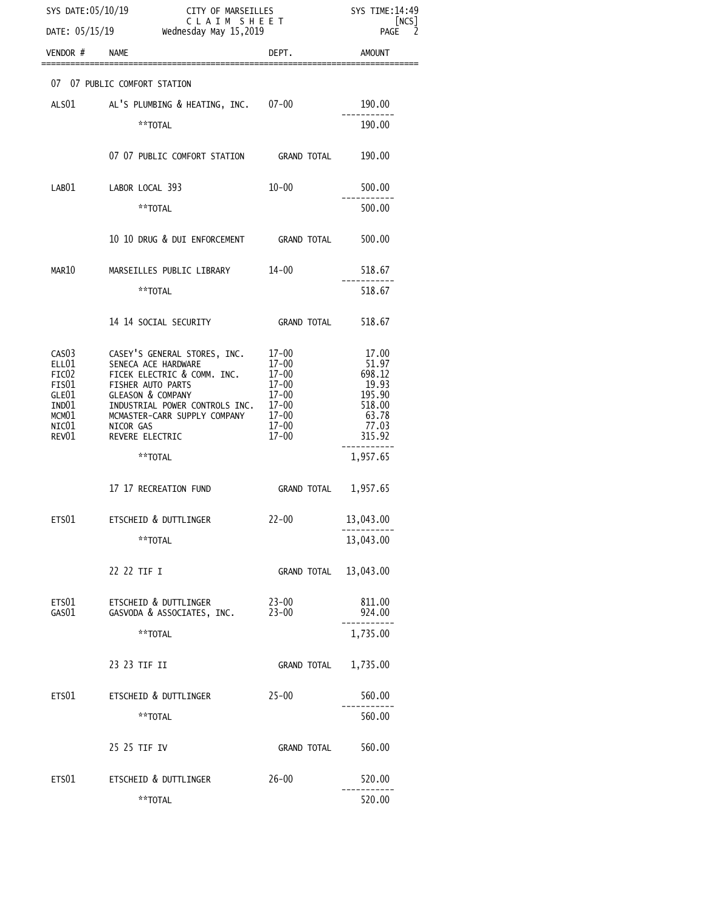| SYS DATE:05/10/19<br>CITY OF MARSEILLES<br>C L A I M S H E E T<br>DATE: 05/15/19<br>Wednesday May 15,2019 |                                                                                                                                                                                                                                                 | SYS TIME: 14:49<br>[NCS]<br>PAGE 2 |                                                                                       |
|-----------------------------------------------------------------------------------------------------------|-------------------------------------------------------------------------------------------------------------------------------------------------------------------------------------------------------------------------------------------------|------------------------------------|---------------------------------------------------------------------------------------|
| VENDOR $#$ NAME                                                                                           |                                                                                                                                                                                                                                                 | DEPT.                              | AMOUNT                                                                                |
|                                                                                                           | 07 07 PUBLIC COMFORT STATION                                                                                                                                                                                                                    |                                    |                                                                                       |
|                                                                                                           | ALSO1 AL'S PLUMBING & HEATING, INC. 07-00                                                                                                                                                                                                       |                                    | 190.00                                                                                |
|                                                                                                           | **TOTAL                                                                                                                                                                                                                                         |                                    | 190.00                                                                                |
|                                                                                                           | 07 07 PUBLIC COMFORT STATION GRAND TOTAL 190.00                                                                                                                                                                                                 |                                    |                                                                                       |
| LAB01                                                                                                     | LABOR LOCAL 393                                                                                                                                                                                                                                 | $10 - 00$                          | 500.00                                                                                |
|                                                                                                           | **TOTAL                                                                                                                                                                                                                                         |                                    | 500.00                                                                                |
|                                                                                                           | 10 10 DRUG & DUI ENFORCEMENT GRAND TOTAL 500.00                                                                                                                                                                                                 |                                    |                                                                                       |
| MAR10                                                                                                     | MARSEILLES PUBLIC LIBRARY 14-00                                                                                                                                                                                                                 |                                    | 518.67                                                                                |
|                                                                                                           | **TOTAL                                                                                                                                                                                                                                         |                                    | 518.67                                                                                |
|                                                                                                           |                                                                                                                                                                                                                                                 | <b>GRAND TOTAL</b>                 | 518.67                                                                                |
| ELL01<br>FIC02<br>FIS01<br>GLE01<br>IND01<br>MCM01<br>NIC $01$<br>REV01                                   | CASO3 CASEY'S GENERAL STORES, INC. 17-00<br>FISHER AUTO PARTS<br>FISHER AUTO PARTS<br>GLEASON & COMPANY<br>$17 - 00$<br>$17 - 00$<br>INDUSTRIAL POWER CONTROLS INC. 17-00<br>MCMASTER-CARR SUPPLY COMPANY 17-00<br>NICOR GAS<br>REVERE ELECTRIC | $17 - 00$<br>$17 - 00$<br>17-00    | 17.00<br>51.97<br>698.12<br>19.93<br>$195.90$<br>$518.00$<br>63.78<br>77.03<br>315.92 |
|                                                                                                           | **TOTAL                                                                                                                                                                                                                                         |                                    | 1,957.65                                                                              |
|                                                                                                           | 17  17 RECREATION FUND                                                                                                                                                                                                                          | GRAND TOTAL 1,957.65               |                                                                                       |
|                                                                                                           | ETS01 ETSCHEID & DUTTLINGER                                                                                                                                                                                                                     | 22-00 13,043.00                    |                                                                                       |
|                                                                                                           | **TOTAL                                                                                                                                                                                                                                         |                                    | 13,043.00                                                                             |
|                                                                                                           | 22 22 TIF I                                                                                                                                                                                                                                     | GRAND TOTAL 13,043.00              |                                                                                       |
| ETS01<br>GAS01                                                                                            | ETSCHEID & DUTTLINGER<br>GASVODA & ASSOCIATES, INC.                                                                                                                                                                                             | $23 - 00$<br>$23 - 00$             | 811.00<br>924.00                                                                      |
|                                                                                                           | **TOTAL                                                                                                                                                                                                                                         |                                    | 1,735.00                                                                              |
|                                                                                                           | 23 23 TIF II                                                                                                                                                                                                                                    | GRAND TOTAL                        | 1,735.00                                                                              |
| ETS01                                                                                                     | ETSCHEID & DUTTLINGER                                                                                                                                                                                                                           | $25 - 00$                          | 560.00                                                                                |
|                                                                                                           | **TOTAL                                                                                                                                                                                                                                         |                                    | 560.00                                                                                |
|                                                                                                           | 25 25 TIF IV                                                                                                                                                                                                                                    | GRAND TOTAL                        | 560.00                                                                                |
| ETS01                                                                                                     | ETSCHEID & DUTTLINGER                                                                                                                                                                                                                           | $26 - 00$                          | 520.00                                                                                |
|                                                                                                           | **TOTAL                                                                                                                                                                                                                                         |                                    | 520.00                                                                                |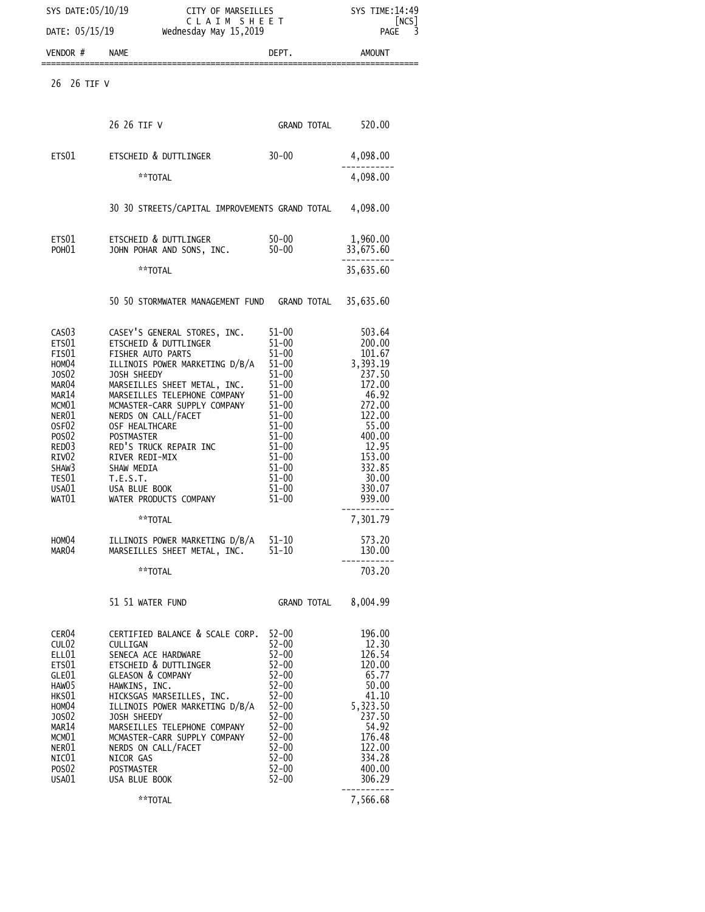| SYS DATE: 05/10/19<br>CITY OF MARSEILLES<br>CLAIM SHEET<br>DATE: 05/15/19<br>Wednesday May 15,2019                                                                                                                                              |                                                                                                                                                                                                                                                                                                                                                                                                                                                                                        |                                                                                                                                                                                                                                        | SYS TIME: 14:49<br>NCS<br>PAGE<br>3                                                                                                                                                                  |  |
|-------------------------------------------------------------------------------------------------------------------------------------------------------------------------------------------------------------------------------------------------|----------------------------------------------------------------------------------------------------------------------------------------------------------------------------------------------------------------------------------------------------------------------------------------------------------------------------------------------------------------------------------------------------------------------------------------------------------------------------------------|----------------------------------------------------------------------------------------------------------------------------------------------------------------------------------------------------------------------------------------|------------------------------------------------------------------------------------------------------------------------------------------------------------------------------------------------------|--|
| VENDOR#                                                                                                                                                                                                                                         | <b>NAME</b>                                                                                                                                                                                                                                                                                                                                                                                                                                                                            | DEPT.                                                                                                                                                                                                                                  | AMOUNT                                                                                                                                                                                               |  |
| 26<br>26 TIF V                                                                                                                                                                                                                                  |                                                                                                                                                                                                                                                                                                                                                                                                                                                                                        |                                                                                                                                                                                                                                        |                                                                                                                                                                                                      |  |
|                                                                                                                                                                                                                                                 | 26 26 TIF V                                                                                                                                                                                                                                                                                                                                                                                                                                                                            | GRAND TOTAL 520.00                                                                                                                                                                                                                     |                                                                                                                                                                                                      |  |
| ETS01                                                                                                                                                                                                                                           | ETSCHEID & DUTTLINGER                                                                                                                                                                                                                                                                                                                                                                                                                                                                  | $30 - 00$                                                                                                                                                                                                                              | 4,098.00                                                                                                                                                                                             |  |
|                                                                                                                                                                                                                                                 | **TOTAL                                                                                                                                                                                                                                                                                                                                                                                                                                                                                |                                                                                                                                                                                                                                        | 4,098.00                                                                                                                                                                                             |  |
|                                                                                                                                                                                                                                                 | 30 30 STREETS/CAPITAL IMPROVEMENTS GRAND TOTAL 4,098.00                                                                                                                                                                                                                                                                                                                                                                                                                                |                                                                                                                                                                                                                                        |                                                                                                                                                                                                      |  |
| ETS01<br>POH <sub>01</sub>                                                                                                                                                                                                                      | ETSCHEID & DUTTLINGER<br>JOHN POHAR AND SONS, INC.                                                                                                                                                                                                                                                                                                                                                                                                                                     | $50 - 00$<br>$50 - 00$                                                                                                                                                                                                                 | 1,960.00<br>33,675.60                                                                                                                                                                                |  |
|                                                                                                                                                                                                                                                 | **TOTAL                                                                                                                                                                                                                                                                                                                                                                                                                                                                                |                                                                                                                                                                                                                                        | 35,635.60                                                                                                                                                                                            |  |
|                                                                                                                                                                                                                                                 | 50 50 STORMWATER MANAGEMENT FUND GRAND TOTAL                                                                                                                                                                                                                                                                                                                                                                                                                                           |                                                                                                                                                                                                                                        | 35,635.60                                                                                                                                                                                            |  |
| CAS <sub>03</sub><br>ETS01<br>FIS01<br>HOM04<br>J0S02<br>MAR <sub>04</sub><br>MAR14<br>MCM01<br>NER01<br>OSF <sub>02</sub><br>POS <sub>02</sub><br>RED <sub>03</sub><br>RIV <sub>02</sub><br>SHAW3<br>TES01<br>USA01<br>WAT01<br>HOMO4<br>MAR04 | CASEY'S GENERAL STORES, INC.<br>ETSCHEID & DUTTLINGER<br>FISHER AUTO PARTS<br>ILLINOIS POWER MARKETING D/B/A<br>JOSH SHEEDY<br>MARSEILLES SHEET METAL, INC.<br>MARSEILLES TELEPHONE COMPANY<br>MCMASTER-CARR SUPPLY COMPANY<br>NERDS ON CALL/FACET<br>OSF HEALTHCARE<br>POSTMASTER<br>RED'S TRUCK REPAIR INC<br>RIVER REDI-MIX<br>SHAW MEDIA<br>T.E.S.T.<br>USA BLUE BOOK<br>WATER PRODUCTS COMPANY<br>**TOTAL<br>ILLINOIS POWER MARKETING D/B/A 51-10<br>MARSEILLES SHEET METAL, INC. | $51 - 00$<br>$51 - 00$<br>$51 - 00$<br>$51 - 00$<br>$51 - 00$<br>$51 - 00$<br>$51 - 00$<br>$51 - 00$<br>$51 - 00$<br>$51 - 00$<br>$51 - 00$<br>$51 - 00$<br>$51 - 00$<br>$51 - 00$<br>$51 - 00$<br>$51 - 00$<br>$51 - 00$<br>$51 - 10$ | 503.64<br>200.00<br>101.67<br>3,393.19<br>237.50<br>172.00<br>46.92<br>272.00<br>122.00<br>55.00<br>400.00<br>12.95<br>153.00<br>332.85<br>30.00<br>330.07<br>939.00<br>7.301.79<br>573.20<br>130.00 |  |
|                                                                                                                                                                                                                                                 | **TOTAL<br>51 51 WATER FUND                                                                                                                                                                                                                                                                                                                                                                                                                                                            | GRAND TOTAL                                                                                                                                                                                                                            | 703.20<br>8,004.99                                                                                                                                                                                   |  |
| CER04<br>CUL <sub>02</sub><br>ELL01<br>ETS01<br>GLE01<br>HAW05<br>HKS01<br>HOM04<br>J0S02<br>MAR14<br>MCM01<br>NER01<br>NIC01<br>POS <sub>02</sub><br>USA01                                                                                     | CERTIFIED BALANCE & SCALE CORP.<br>CULLIGAN<br>SENECA ACE HARDWARE<br>ETSCHEID & DUTTLINGER<br><b>GLEASON &amp; COMPANY</b><br>HAWKINS, INC.<br>HICKSGAS MARSEILLES, INC.<br>ILLINOIS POWER MARKETING D/B/A<br>JOSH SHEEDY<br>MARSEILLES TELEPHONE COMPANY<br>MCMASTER-CARR SUPPLY COMPANY<br>NERDS ON CALL/FACET<br>NICOR GAS<br><b>POSTMASTER</b><br>USA BLUE BOOK                                                                                                                   | $52 - 00$<br>$52 - 00$<br>$52 - 00$<br>$52 - 00$<br>$52 - 00$<br>$52 - 00$<br>$52 - 00$<br>$52 - 00$<br>$52 - 00$<br>$52 - 00$<br>$52 - 00$<br>$52 - 00$<br>$52 - 00$<br>$52 - 00$<br>$52 - 00$                                        | 196.00<br>12.30<br>126.54<br>120.00<br>65.77<br>50.00<br>41.10<br>5,323.50<br>237.50<br>54.92<br>176.48<br>122.00<br>334.28<br>400.00<br>306.29                                                      |  |
|                                                                                                                                                                                                                                                 | **TOTAL                                                                                                                                                                                                                                                                                                                                                                                                                                                                                |                                                                                                                                                                                                                                        | 7,566.68                                                                                                                                                                                             |  |